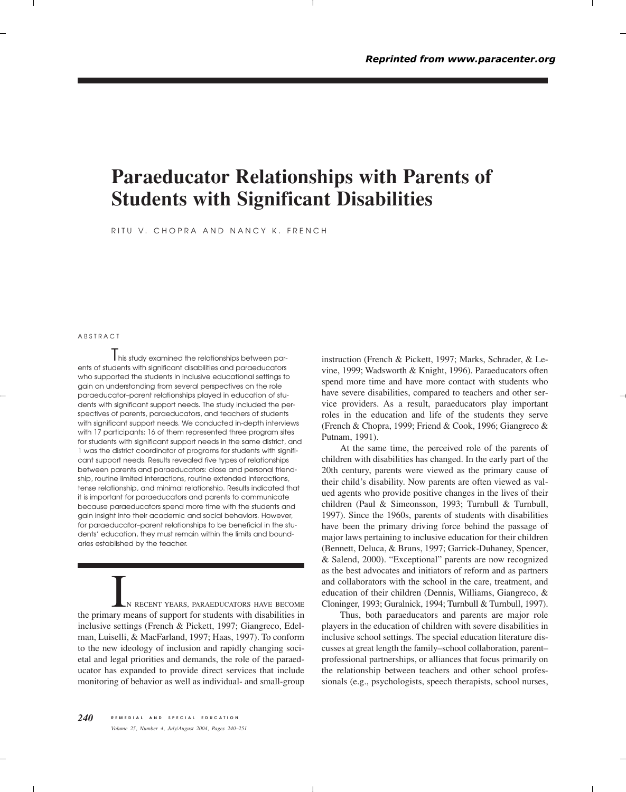# **Paraeducator Relationships with Parents of Students with Significant Disabilities**

RITU V. CHOPRA AND NANCY K. FRENCH

#### ABSTRACT

I his study examined the relationships between parents of students with significant disabilities and paraeducators who supported the students in inclusive educational settings to gain an understanding from several perspectives on the role paraeducator–parent relationships played in education of students with significant support needs. The study included the perspectives of parents, paraeducators, and teachers of students with significant support needs. We conducted in-depth interviews with 17 participants; 16 of them represented three program sites for students with significant support needs in the same district, and 1 was the district coordinator of programs for students with significant support needs. Results revealed five types of relationships between parents and paraeducators: close and personal friendship, routine limited interactions, routine extended interactions, tense relationship, and minimal relationship. Results indicated that it is important for paraeducators and parents to communicate because paraeducators spend more time with the students and gain insight into their academic and social behaviors. However, for paraeducator–parent relationships to be beneficial in the students' education, they must remain within the limits and boundaries established by the teacher.

IN RECENT YEARS, PARAEDUCATORS HAVE BECOME<br>the primary means of support for students with disabilities in inclusive settings (French & Pickett, 1997; Giangreco, Edelman, Luiselli, & MacFarland, 1997; Haas, 1997). To conform to the new ideology of inclusion and rapidly changing societal and legal priorities and demands, the role of the paraeducator has expanded to provide direct services that include monitoring of behavior as well as individual- and small-group

instruction (French & Pickett, 1997; Marks, Schrader, & Levine, 1999; Wadsworth & Knight, 1996). Paraeducators often spend more time and have more contact with students who have severe disabilities, compared to teachers and other service providers. As a result, paraeducators play important roles in the education and life of the students they serve (French & Chopra, 1999; Friend & Cook, 1996; Giangreco & Putnam, 1991).

At the same time, the perceived role of the parents of children with disabilities has changed. In the early part of the 20th century, parents were viewed as the primary cause of their child's disability. Now parents are often viewed as valued agents who provide positive changes in the lives of their children (Paul & Simeonsson, 1993; Turnbull & Turnbull, 1997). Since the 1960s, parents of students with disabilities have been the primary driving force behind the passage of major laws pertaining to inclusive education for their children (Bennett, Deluca, & Bruns, 1997; Garrick-Duhaney, Spencer, & Salend, 2000). "Exceptional" parents are now recognized as the best advocates and initiators of reform and as partners and collaborators with the school in the care, treatment, and education of their children (Dennis, Williams, Giangreco, & Cloninger, 1993; Guralnick, 1994; Turnbull & Turnbull, 1997).

Thus, both paraeducators and parents are major role players in the education of children with severe disabilities in inclusive school settings. The special education literature discusses at great length the family–school collaboration, parent– professional partnerships, or alliances that focus primarily on the relationship between teachers and other school professionals (e.g., psychologists, speech therapists, school nurses,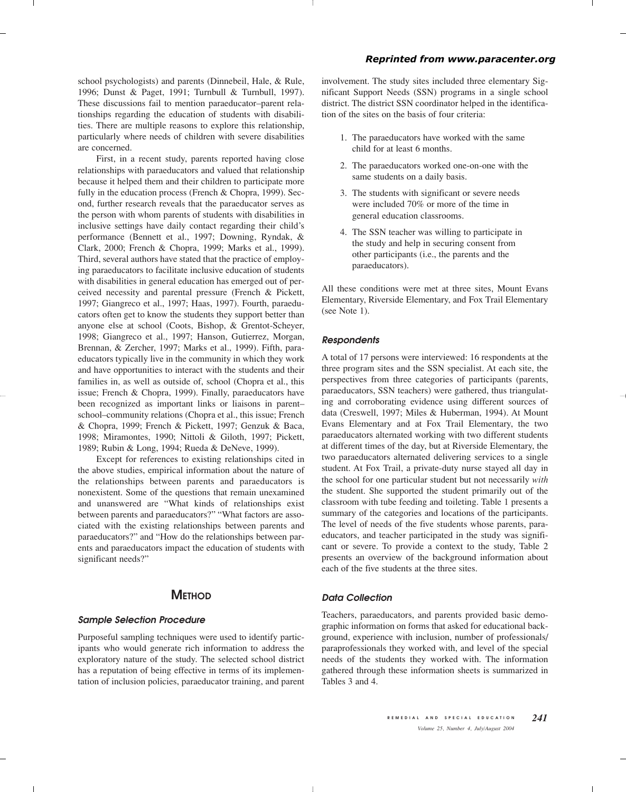school psychologists) and parents (Dinnebeil, Hale, & Rule, 1996; Dunst & Paget, 1991; Turnbull & Turnbull, 1997). These discussions fail to mention paraeducator–parent relationships regarding the education of students with disabilities. There are multiple reasons to explore this relationship, particularly where needs of children with severe disabilities are concerned.

First, in a recent study, parents reported having close relationships with paraeducators and valued that relationship because it helped them and their children to participate more fully in the education process (French & Chopra, 1999). Second, further research reveals that the paraeducator serves as the person with whom parents of students with disabilities in inclusive settings have daily contact regarding their child's performance (Bennett et al., 1997; Downing, Ryndak, & Clark, 2000; French & Chopra, 1999; Marks et al., 1999). Third, several authors have stated that the practice of employing paraeducators to facilitate inclusive education of students with disabilities in general education has emerged out of perceived necessity and parental pressure (French & Pickett, 1997; Giangreco et al., 1997; Haas, 1997). Fourth, paraeducators often get to know the students they support better than anyone else at school (Coots, Bishop, & Grentot-Scheyer, 1998; Giangreco et al., 1997; Hanson, Gutierrez, Morgan, Brennan, & Zercher, 1997; Marks et al., 1999). Fifth, paraeducators typically live in the community in which they work and have opportunities to interact with the students and their families in, as well as outside of, school (Chopra et al., this issue; French & Chopra, 1999). Finally, paraeducators have been recognized as important links or liaisons in parent– school–community relations (Chopra et al., this issue; French & Chopra, 1999; French & Pickett, 1997; Genzuk & Baca, 1998; Miramontes, 1990; Nittoli & Giloth, 1997; Pickett, 1989; Rubin & Long, 1994; Rueda & DeNeve, 1999).

Except for references to existing relationships cited in the above studies, empirical information about the nature of the relationships between parents and paraeducators is nonexistent. Some of the questions that remain unexamined and unanswered are "What kinds of relationships exist between parents and paraeducators?" "What factors are associated with the existing relationships between parents and paraeducators?" and "How do the relationships between parents and paraeducators impact the education of students with significant needs?"

# **METHOD**

## *Sample Selection Procedure*

Purposeful sampling techniques were used to identify participants who would generate rich information to address the exploratory nature of the study. The selected school district has a reputation of being effective in terms of its implementation of inclusion policies, paraeducator training, and parent involvement. The study sites included three elementary Significant Support Needs (SSN) programs in a single school district. The district SSN coordinator helped in the identification of the sites on the basis of four criteria:

- 1. The paraeducators have worked with the same child for at least 6 months.
- 2. The paraeducators worked one-on-one with the same students on a daily basis.
- 3. The students with significant or severe needs were included 70% or more of the time in general education classrooms.
- 4. The SSN teacher was willing to participate in the study and help in securing consent from other participants (i.e., the parents and the paraeducators).

All these conditions were met at three sites, Mount Evans Elementary, Riverside Elementary, and Fox Trail Elementary (see Note 1).

## *Respondents*

A total of 17 persons were interviewed: 16 respondents at the three program sites and the SSN specialist. At each site, the perspectives from three categories of participants (parents, paraeducators, SSN teachers) were gathered, thus triangulating and corroborating evidence using different sources of data (Creswell, 1997; Miles & Huberman, 1994). At Mount Evans Elementary and at Fox Trail Elementary, the two paraeducators alternated working with two different students at different times of the day, but at Riverside Elementary, the two paraeducators alternated delivering services to a single student. At Fox Trail, a private-duty nurse stayed all day in the school for one particular student but not necessarily *with* the student. She supported the student primarily out of the classroom with tube feeding and toileting. Table 1 presents a summary of the categories and locations of the participants. The level of needs of the five students whose parents, paraeducators, and teacher participated in the study was significant or severe. To provide a context to the study, Table 2 presents an overview of the background information about each of the five students at the three sites.

## *Data Collection*

Teachers, paraeducators, and parents provided basic demographic information on forms that asked for educational background, experience with inclusion, number of professionals/ paraprofessionals they worked with, and level of the special needs of the students they worked with. The information gathered through these information sheets is summarized in Tables 3 and 4.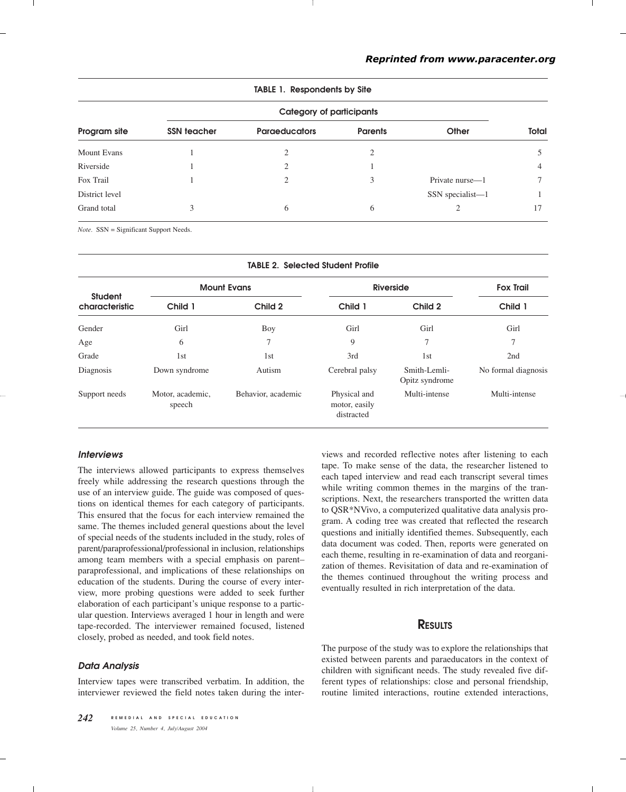| <b>INDEE</b> I. RESPONDENTS BY SILE |                                 |                      |                |                  |              |
|-------------------------------------|---------------------------------|----------------------|----------------|------------------|--------------|
|                                     | <b>Category of participants</b> |                      |                |                  |              |
| Program site                        | <b>SSN teacher</b>              | <b>Paraeducators</b> | <b>Parents</b> | <b>Other</b>     | <b>Total</b> |
| Mount Evans                         |                                 | $\mathfrak{D}$       | 2              |                  |              |
| Riverside                           |                                 | 2                    |                |                  | 4            |
| Fox Trail                           |                                 | $\overline{c}$       | 3              | Private nurse-1  |              |
| District level                      |                                 |                      |                | SSN specialist-1 |              |
| Grand total                         | 3                               | 6                    | 6              | 2                | 17           |

**TABLE 1. Respondents by Site**

*Note.* SSN = Significant Support Needs.

| <b>Student</b><br>characteristic | <b>Mount Evans</b>         |                    | <b>Riverside</b>                            | <b>Fox Trail</b>               |                     |
|----------------------------------|----------------------------|--------------------|---------------------------------------------|--------------------------------|---------------------|
|                                  | Child 1                    | Child 2            | Child 1                                     | Child 2                        | Child 1             |
| Gender                           | Girl                       | Boy                | Girl                                        | Girl                           | Girl                |
| Age                              | 6                          | 7                  | 9                                           |                                | 7                   |
| Grade                            | 1 <sub>st</sub>            | 1st                | 3rd                                         | 1st                            | 2nd                 |
| Diagnosis                        | Down syndrome              | Autism             | Cerebral palsy                              | Smith-Lemli-<br>Opitz syndrome | No formal diagnosis |
| Support needs                    | Motor, academic,<br>speech | Behavior, academic | Physical and<br>motor, easily<br>distracted | Multi-intense                  | Multi-intense       |

## *Interviews*

The interviews allowed participants to express themselves freely while addressing the research questions through the use of an interview guide. The guide was composed of questions on identical themes for each category of participants. This ensured that the focus for each interview remained the same. The themes included general questions about the level of special needs of the students included in the study, roles of parent/paraprofessional/professional in inclusion, relationships among team members with a special emphasis on parent– paraprofessional, and implications of these relationships on education of the students. During the course of every interview, more probing questions were added to seek further elaboration of each participant's unique response to a particular question. Interviews averaged 1 hour in length and were tape-recorded. The interviewer remained focused, listened closely, probed as needed, and took field notes.

## *Data Analysis*

Interview tapes were transcribed verbatim. In addition, the interviewer reviewed the field notes taken during the interviews and recorded reflective notes after listening to each tape. To make sense of the data, the researcher listened to each taped interview and read each transcript several times while writing common themes in the margins of the transcriptions. Next, the researchers transported the written data to QSR\*NVivo, a computerized qualitative data analysis program. A coding tree was created that reflected the research questions and initially identified themes. Subsequently, each data document was coded. Then, reports were generated on each theme, resulting in re-examination of data and reorganization of themes. Revisitation of data and re-examination of the themes continued throughout the writing process and eventually resulted in rich interpretation of the data.

# **RESULTS**

The purpose of the study was to explore the relationships that existed between parents and paraeducators in the context of children with significant needs. The study revealed five different types of relationships: close and personal friendship, routine limited interactions, routine extended interactions,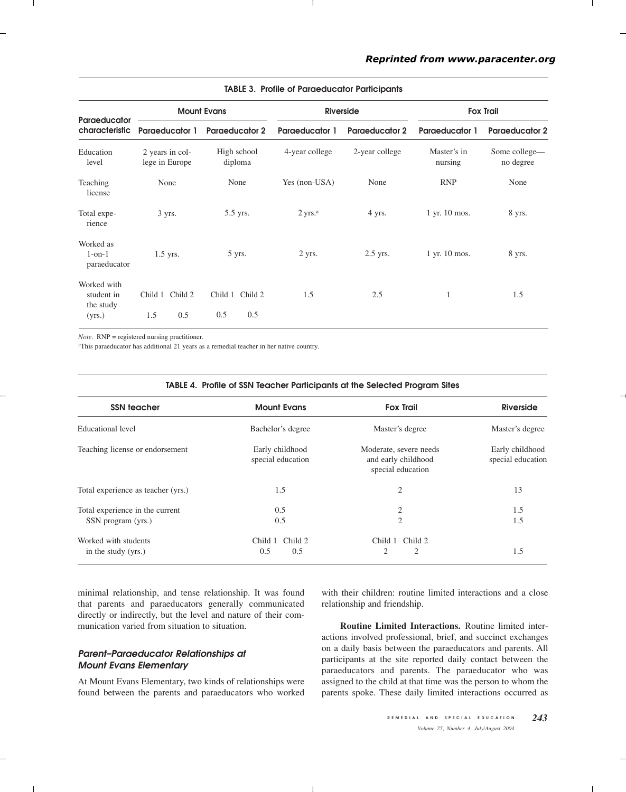| Paraeducator<br>characteristic                   | <b>Mount Evans</b>                |                                  | <b>Riverside</b>            |                       | <b>Fox Trail</b>       |                            |
|--------------------------------------------------|-----------------------------------|----------------------------------|-----------------------------|-----------------------|------------------------|----------------------------|
|                                                  | <b>Paraeducator 1</b>             | <b>Paraeducator 2</b>            | <b>Paraeducator 1</b>       | <b>Paraeducator 2</b> | <b>Paraeducator 1</b>  | <b>Paraeducator 2</b>      |
| Education<br>level                               | 2 years in col-<br>lege in Europe | High school<br>diploma           | 4-year college              | 2-year college        | Master's in<br>nursing | Some college-<br>no degree |
| Teaching<br>license                              | None                              | None                             | Yes (non-USA)               | None                  | <b>RNP</b>             | None                       |
| Total expe-<br>rience                            | 3 yrs.                            | 5.5 yrs.                         | $2 \gamma$ rs. <sup>a</sup> | 4 yrs.                | 1 yr. 10 mos.          | 8 yrs.                     |
| Worked as<br>$1$ -on- $1$<br>paraeducator        | $1.5$ yrs.                        | 5 yrs.                           | 2 yrs.                      | 2.5 yrs.              | 1 yr. 10 mos.          | 8 yrs.                     |
| Worked with<br>student in<br>the study<br>(yrs.) | Child 1 Child 2<br>1.5<br>0.5     | Child 1<br>Child 2<br>0.5<br>0.5 | 1.5                         | 2.5                   | $\mathbf{1}$           | 1.5                        |

## **TABLE 3. Profile of Paraeducator Participants**

*Note.* RNP = registered nursing practitioner.

aThis paraeducator has additional 21 years as a remedial teacher in her native country.

| <b>Mount Evans</b>                   | <b>Fox Trail</b>                                                   | <b>Riverside</b>                     |  |
|--------------------------------------|--------------------------------------------------------------------|--------------------------------------|--|
| Bachelor's degree                    | Master's degree                                                    | Master's degree                      |  |
| Early childhood<br>special education | Moderate, severe needs<br>and early childhood<br>special education | Early childhood<br>special education |  |
| 1.5                                  | 2                                                                  | 13                                   |  |
| 0.5<br>0.5                           | 2<br>$\overline{c}$                                                | 1.5<br>1.5                           |  |
| Child 2<br>Child 1                   | Child 2<br>Child 1<br>2                                            | 1.5                                  |  |
|                                      | 0.5<br>0.5                                                         | 2                                    |  |

## **TABLE 4. Profile of SSN Teacher Participants at the Selected Program Sites**

minimal relationship, and tense relationship. It was found that parents and paraeducators generally communicated directly or indirectly, but the level and nature of their communication varied from situation to situation.

# *Parent–Paraeducator Relationships at Mount Evans Elementary*

At Mount Evans Elementary, two kinds of relationships were found between the parents and paraeducators who worked

with their children: routine limited interactions and a close relationship and friendship.

**Routine Limited Interactions.** Routine limited interactions involved professional, brief, and succinct exchanges on a daily basis between the paraeducators and parents. All participants at the site reported daily contact between the paraeducators and parents. The paraeducator who was assigned to the child at that time was the person to whom the parents spoke. These daily limited interactions occurred as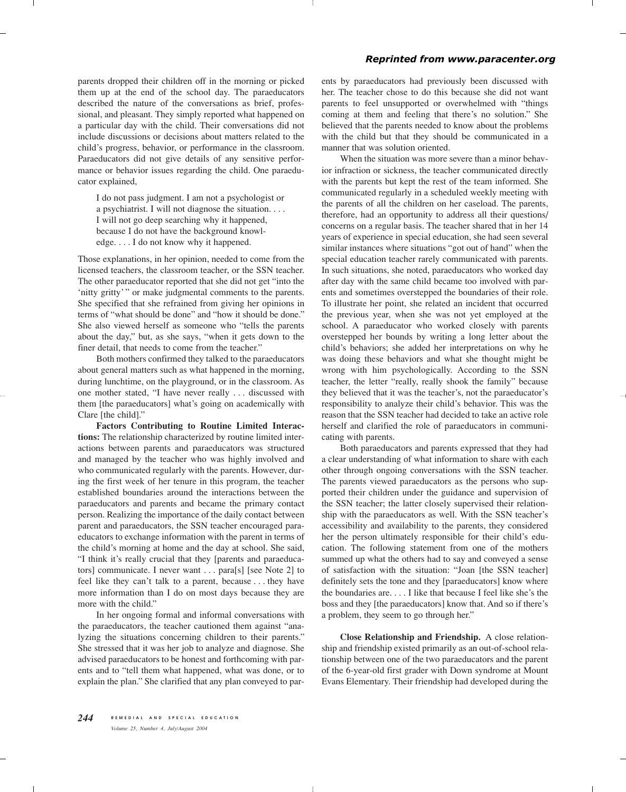parents dropped their children off in the morning or picked them up at the end of the school day. The paraeducators described the nature of the conversations as brief, professional, and pleasant. They simply reported what happened on a particular day with the child. Their conversations did not include discussions or decisions about matters related to the child's progress, behavior, or performance in the classroom. Paraeducators did not give details of any sensitive performance or behavior issues regarding the child. One paraeducator explained,

I do not pass judgment. I am not a psychologist or a psychiatrist. I will not diagnose the situation.... I will not go deep searching why it happened, because I do not have the background knowledge. . . . I do not know why it happened.

Those explanations, in her opinion, needed to come from the licensed teachers, the classroom teacher, or the SSN teacher. The other paraeducator reported that she did not get "into the 'nitty gritty' " or make judgmental comments to the parents. She specified that she refrained from giving her opinions in terms of "what should be done" and "how it should be done." She also viewed herself as someone who "tells the parents about the day," but, as she says, "when it gets down to the finer detail, that needs to come from the teacher."

Both mothers confirmed they talked to the paraeducators about general matters such as what happened in the morning, during lunchtime, on the playground, or in the classroom. As one mother stated, "I have never really . . . discussed with them [the paraeducators] what's going on academically with Clare [the child]."

**Factors Contributing to Routine Limited Interactions:** The relationship characterized by routine limited interactions between parents and paraeducators was structured and managed by the teacher who was highly involved and who communicated regularly with the parents. However, during the first week of her tenure in this program, the teacher established boundaries around the interactions between the paraeducators and parents and became the primary contact person. Realizing the importance of the daily contact between parent and paraeducators, the SSN teacher encouraged paraeducators to exchange information with the parent in terms of the child's morning at home and the day at school. She said, "I think it's really crucial that they [parents and paraeducators] communicate. I never want . . . para[s] [see Note 2] to feel like they can't talk to a parent, because . . . they have more information than I do on most days because they are more with the child."

In her ongoing formal and informal conversations with the paraeducators, the teacher cautioned them against "analyzing the situations concerning children to their parents." She stressed that it was her job to analyze and diagnose. She advised paraeducators to be honest and forthcoming with parents and to "tell them what happened, what was done, or to explain the plan." She clarified that any plan conveyed to par-

ents by paraeducators had previously been discussed with her. The teacher chose to do this because she did not want parents to feel unsupported or overwhelmed with "things coming at them and feeling that there's no solution." She believed that the parents needed to know about the problems with the child but that they should be communicated in a manner that was solution oriented.

When the situation was more severe than a minor behavior infraction or sickness, the teacher communicated directly with the parents but kept the rest of the team informed. She communicated regularly in a scheduled weekly meeting with the parents of all the children on her caseload. The parents, therefore, had an opportunity to address all their questions/ concerns on a regular basis. The teacher shared that in her 14 years of experience in special education, she had seen several similar instances where situations "got out of hand" when the special education teacher rarely communicated with parents. In such situations, she noted, paraeducators who worked day after day with the same child became too involved with parents and sometimes overstepped the boundaries of their role. To illustrate her point, she related an incident that occurred the previous year, when she was not yet employed at the school. A paraeducator who worked closely with parents overstepped her bounds by writing a long letter about the child's behaviors; she added her interpretations on why he was doing these behaviors and what she thought might be wrong with him psychologically. According to the SSN teacher, the letter "really, really shook the family" because they believed that it was the teacher's, not the paraeducator's responsibility to analyze their child's behavior. This was the reason that the SSN teacher had decided to take an active role herself and clarified the role of paraeducators in communicating with parents.

Both paraeducators and parents expressed that they had a clear understanding of what information to share with each other through ongoing conversations with the SSN teacher. The parents viewed paraeducators as the persons who supported their children under the guidance and supervision of the SSN teacher; the latter closely supervised their relationship with the paraeducators as well. With the SSN teacher's accessibility and availability to the parents, they considered her the person ultimately responsible for their child's education. The following statement from one of the mothers summed up what the others had to say and conveyed a sense of satisfaction with the situation: "Joan [the SSN teacher] definitely sets the tone and they [paraeducators] know where the boundaries are. . . . I like that because I feel like she's the boss and they [the paraeducators] know that. And so if there's a problem, they seem to go through her."

**Close Relationship and Friendship.** A close relationship and friendship existed primarily as an out-of-school relationship between one of the two paraeducators and the parent of the 6-year-old first grader with Down syndrome at Mount Evans Elementary. Their friendship had developed during the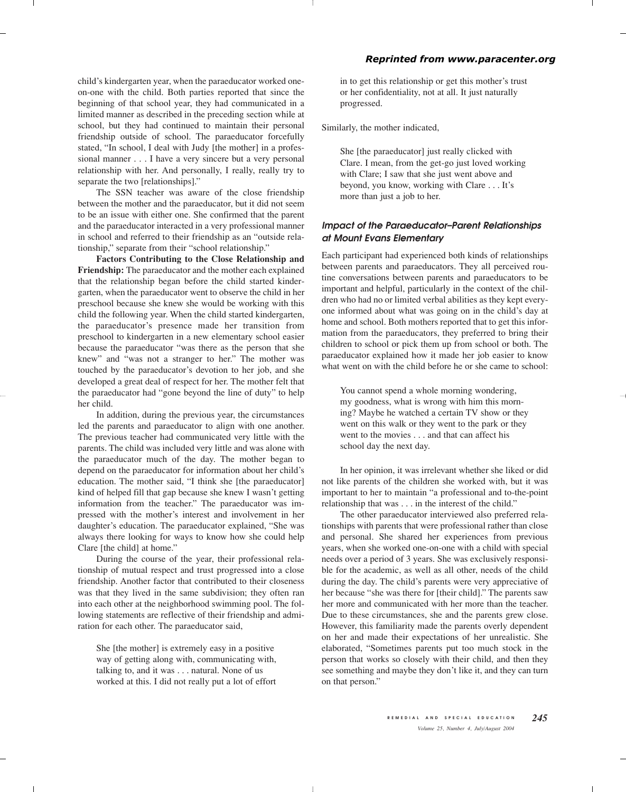child's kindergarten year, when the paraeducator worked oneon-one with the child. Both parties reported that since the beginning of that school year, they had communicated in a limited manner as described in the preceding section while at school, but they had continued to maintain their personal friendship outside of school. The paraeducator forcefully stated, "In school, I deal with Judy [the mother] in a professional manner . . . I have a very sincere but a very personal relationship with her. And personally, I really, really try to separate the two [relationships]."

The SSN teacher was aware of the close friendship between the mother and the paraeducator, but it did not seem to be an issue with either one. She confirmed that the parent and the paraeducator interacted in a very professional manner in school and referred to their friendship as an "outside relationship," separate from their "school relationship."

**Factors Contributing to the Close Relationship and Friendship:** The paraeducator and the mother each explained that the relationship began before the child started kindergarten, when the paraeducator went to observe the child in her preschool because she knew she would be working with this child the following year. When the child started kindergarten, the paraeducator's presence made her transition from preschool to kindergarten in a new elementary school easier because the paraeducator "was there as the person that she knew" and "was not a stranger to her." The mother was touched by the paraeducator's devotion to her job, and she developed a great deal of respect for her. The mother felt that the paraeducator had "gone beyond the line of duty" to help her child.

In addition, during the previous year, the circumstances led the parents and paraeducator to align with one another. The previous teacher had communicated very little with the parents. The child was included very little and was alone with the paraeducator much of the day. The mother began to depend on the paraeducator for information about her child's education. The mother said, "I think she [the paraeducator] kind of helped fill that gap because she knew I wasn't getting information from the teacher." The paraeducator was impressed with the mother's interest and involvement in her daughter's education. The paraeducator explained, "She was always there looking for ways to know how she could help Clare [the child] at home."

During the course of the year, their professional relationship of mutual respect and trust progressed into a close friendship. Another factor that contributed to their closeness was that they lived in the same subdivision; they often ran into each other at the neighborhood swimming pool. The following statements are reflective of their friendship and admiration for each other. The paraeducator said,

She [the mother] is extremely easy in a positive way of getting along with, communicating with, talking to, and it was . . . natural. None of us worked at this. I did not really put a lot of effort in to get this relationship or get this mother's trust or her confidentiality, not at all. It just naturally progressed.

Similarly, the mother indicated,

She [the paraeducator] just really clicked with Clare. I mean, from the get-go just loved working with Clare; I saw that she just went above and beyond, you know, working with Clare . . . It's more than just a job to her.

# *Impact of the Paraeducator–Parent Relationships at Mount Evans Elementary*

Each participant had experienced both kinds of relationships between parents and paraeducators. They all perceived routine conversations between parents and paraeducators to be important and helpful, particularly in the context of the children who had no or limited verbal abilities as they kept everyone informed about what was going on in the child's day at home and school. Both mothers reported that to get this information from the paraeducators, they preferred to bring their children to school or pick them up from school or both. The paraeducator explained how it made her job easier to know what went on with the child before he or she came to school:

You cannot spend a whole morning wondering, my goodness, what is wrong with him this morning? Maybe he watched a certain TV show or they went on this walk or they went to the park or they went to the movies . . . and that can affect his school day the next day.

In her opinion, it was irrelevant whether she liked or did not like parents of the children she worked with, but it was important to her to maintain "a professional and to-the-point relationship that was ... in the interest of the child."

The other paraeducator interviewed also preferred relationships with parents that were professional rather than close and personal. She shared her experiences from previous years, when she worked one-on-one with a child with special needs over a period of 3 years. She was exclusively responsible for the academic, as well as all other, needs of the child during the day. The child's parents were very appreciative of her because "she was there for [their child]." The parents saw her more and communicated with her more than the teacher. Due to these circumstances, she and the parents grew close. However, this familiarity made the parents overly dependent on her and made their expectations of her unrealistic. She elaborated, "Sometimes parents put too much stock in the person that works so closely with their child, and then they see something and maybe they don't like it, and they can turn on that person."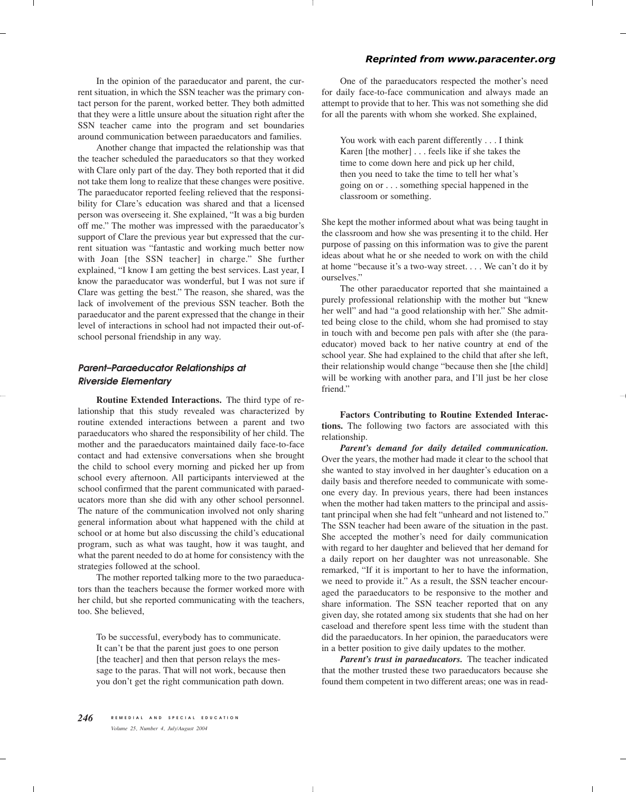In the opinion of the paraeducator and parent, the current situation, in which the SSN teacher was the primary contact person for the parent, worked better. They both admitted that they were a little unsure about the situation right after the SSN teacher came into the program and set boundaries around communication between paraeducators and families.

Another change that impacted the relationship was that the teacher scheduled the paraeducators so that they worked with Clare only part of the day. They both reported that it did not take them long to realize that these changes were positive. The paraeducator reported feeling relieved that the responsibility for Clare's education was shared and that a licensed person was overseeing it. She explained, "It was a big burden off me." The mother was impressed with the paraeducator's support of Clare the previous year but expressed that the current situation was "fantastic and working much better now with Joan [the SSN teacher] in charge." She further explained, "I know I am getting the best services. Last year, I know the paraeducator was wonderful, but I was not sure if Clare was getting the best." The reason, she shared, was the lack of involvement of the previous SSN teacher. Both the paraeducator and the parent expressed that the change in their level of interactions in school had not impacted their out-ofschool personal friendship in any way.

# *Parent–Paraeducator Relationships at Riverside Elementary*

**Routine Extended Interactions.** The third type of relationship that this study revealed was characterized by routine extended interactions between a parent and two paraeducators who shared the responsibility of her child. The mother and the paraeducators maintained daily face-to-face contact and had extensive conversations when she brought the child to school every morning and picked her up from school every afternoon. All participants interviewed at the school confirmed that the parent communicated with paraeducators more than she did with any other school personnel. The nature of the communication involved not only sharing general information about what happened with the child at school or at home but also discussing the child's educational program, such as what was taught, how it was taught, and what the parent needed to do at home for consistency with the strategies followed at the school.

The mother reported talking more to the two paraeducators than the teachers because the former worked more with her child, but she reported communicating with the teachers, too. She believed,

To be successful, everybody has to communicate. It can't be that the parent just goes to one person [the teacher] and then that person relays the message to the paras. That will not work, because then you don't get the right communication path down.

One of the paraeducators respected the mother's need for daily face-to-face communication and always made an attempt to provide that to her. This was not something she did for all the parents with whom she worked. She explained,

You work with each parent differently . . . I think Karen [the mother] . . . feels like if she takes the time to come down here and pick up her child, then you need to take the time to tell her what's going on or . . . something special happened in the classroom or something.

She kept the mother informed about what was being taught in the classroom and how she was presenting it to the child. Her purpose of passing on this information was to give the parent ideas about what he or she needed to work on with the child at home "because it's a two-way street. . . . We can't do it by ourselves."

The other paraeducator reported that she maintained a purely professional relationship with the mother but "knew her well" and had "a good relationship with her." She admitted being close to the child, whom she had promised to stay in touch with and become pen pals with after she (the paraeducator) moved back to her native country at end of the school year. She had explained to the child that after she left, their relationship would change "because then she [the child] will be working with another para, and I'll just be her close friend."

**Factors Contributing to Routine Extended Interactions.** The following two factors are associated with this relationship.

*Parent's demand for daily detailed communication.* Over the years, the mother had made it clear to the school that she wanted to stay involved in her daughter's education on a daily basis and therefore needed to communicate with someone every day. In previous years, there had been instances when the mother had taken matters to the principal and assistant principal when she had felt "unheard and not listened to." The SSN teacher had been aware of the situation in the past. She accepted the mother's need for daily communication with regard to her daughter and believed that her demand for a daily report on her daughter was not unreasonable. She remarked, "If it is important to her to have the information, we need to provide it." As a result, the SSN teacher encouraged the paraeducators to be responsive to the mother and share information. The SSN teacher reported that on any given day, she rotated among six students that she had on her caseload and therefore spent less time with the student than did the paraeducators. In her opinion, the paraeducators were in a better position to give daily updates to the mother.

*Parent's trust in paraeducators.* The teacher indicated that the mother trusted these two paraeducators because she found them competent in two different areas; one was in read-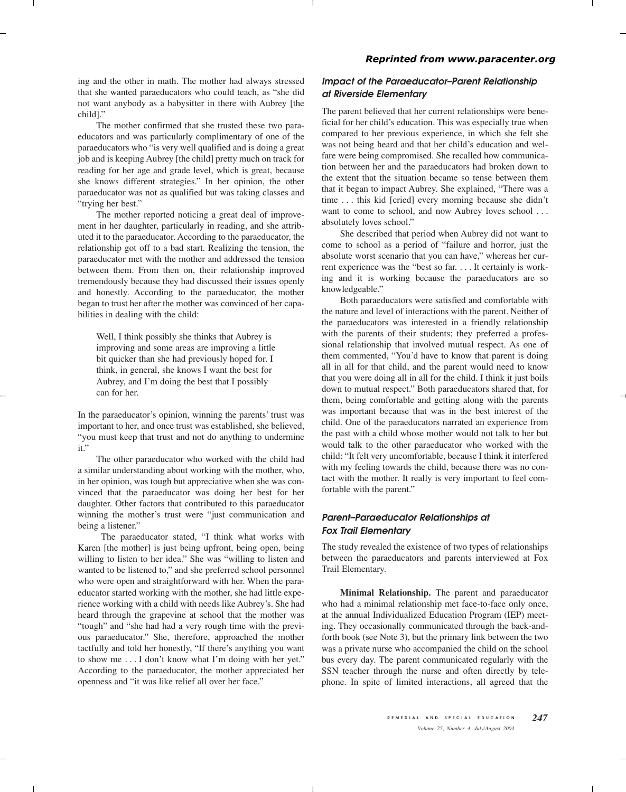ing and the other in math. The mother had always stressed that she wanted paraeducators who could teach, as "she did not want anybody as a babysitter in there with Aubrey [the child]."

The mother confirmed that she trusted these two paraeducators and was particularly complimentary of one of the paraeducators who "is very well qualified and is doing a great job and is keeping Aubrey [the child] pretty much on track for reading for her age and grade level, which is great, because she knows different strategies." In her opinion, the other paraeducator was not as qualified but was taking classes and "trying her best."

The mother reported noticing a great deal of improvement in her daughter, particularly in reading, and she attributed it to the paraeducator. According to the paraeducator, the relationship got off to a bad start. Realizing the tension, the paraeducator met with the mother and addressed the tension between them. From then on, their relationship improved tremendously because they had discussed their issues openly and honestly. According to the paraeducator, the mother began to trust her after the mother was convinced of her capabilities in dealing with the child:

Well, I think possibly she thinks that Aubrey is improving and some areas are improving a little bit quicker than she had previously hoped for. I think, in general, she knows I want the best for Aubrey, and I'm doing the best that I possibly can for her.

In the paraeducator's opinion, winning the parents' trust was important to her, and once trust was established, she believed, "you must keep that trust and not do anything to undermine it."

The other paraeducator who worked with the child had a similar understanding about working with the mother, who, in her opinion, was tough but appreciative when she was convinced that the paraeducator was doing her best for her daughter. Other factors that contributed to this paraeducator winning the mother's trust were "just communication and being a listener."

The paraeducator stated, "I think what works with Karen [the mother] is just being upfront, being open, being willing to listen to her idea." She was "willing to listen and wanted to be listened to," and she preferred school personnel who were open and straightforward with her. When the paraeducator started working with the mother, she had little experience working with a child with needs like Aubrey's. She had heard through the grapevine at school that the mother was "tough" and "she had had a very rough time with the previous paraeducator." She, therefore, approached the mother tactfully and told her honestly, "If there's anything you want to show me . . . I don't know what I'm doing with her yet." According to the paraeducator, the mother appreciated her openness and "it was like relief all over her face."

# *Impact of the Paraeducator–Parent Relationship at Riverside Elementary*

The parent believed that her current relationships were beneficial for her child's education. This was especially true when compared to her previous experience, in which she felt she was not being heard and that her child's education and welfare were being compromised. She recalled how communication between her and the paraeducators had broken down to the extent that the situation became so tense between them that it began to impact Aubrey. She explained, "There was a time . . . this kid [cried] every morning because she didn't want to come to school, and now Aubrey loves school ... absolutely loves school."

She described that period when Aubrey did not want to come to school as a period of "failure and horror, just the absolute worst scenario that you can have," whereas her current experience was the "best so far. ... It certainly is working and it is working because the paraeducators are so knowledgeable."

Both paraeducators were satisfied and comfortable with the nature and level of interactions with the parent. Neither of the paraeducators was interested in a friendly relationship with the parents of their students; they preferred a professional relationship that involved mutual respect. As one of them commented, "You'd have to know that parent is doing all in all for that child, and the parent would need to know that you were doing all in all for the child. I think it just boils down to mutual respect." Both paraeducators shared that, for them, being comfortable and getting along with the parents was important because that was in the best interest of the child. One of the paraeducators narrated an experience from the past with a child whose mother would not talk to her but would talk to the other paraeducator who worked with the child: "It felt very uncomfortable, because I think it interfered with my feeling towards the child, because there was no contact with the mother. It really is very important to feel comfortable with the parent."

# *Parent–Paraeducator Relationships at Fox Trail Elementary*

The study revealed the existence of two types of relationships between the paraeducators and parents interviewed at Fox Trail Elementary.

**Minimal Relationship.** The parent and paraeducator who had a minimal relationship met face-to-face only once, at the annual Individualized Education Program (IEP) meeting. They occasionally communicated through the back-andforth book (see Note 3), but the primary link between the two was a private nurse who accompanied the child on the school bus every day. The parent communicated regularly with the SSN teacher through the nurse and often directly by telephone. In spite of limited interactions, all agreed that the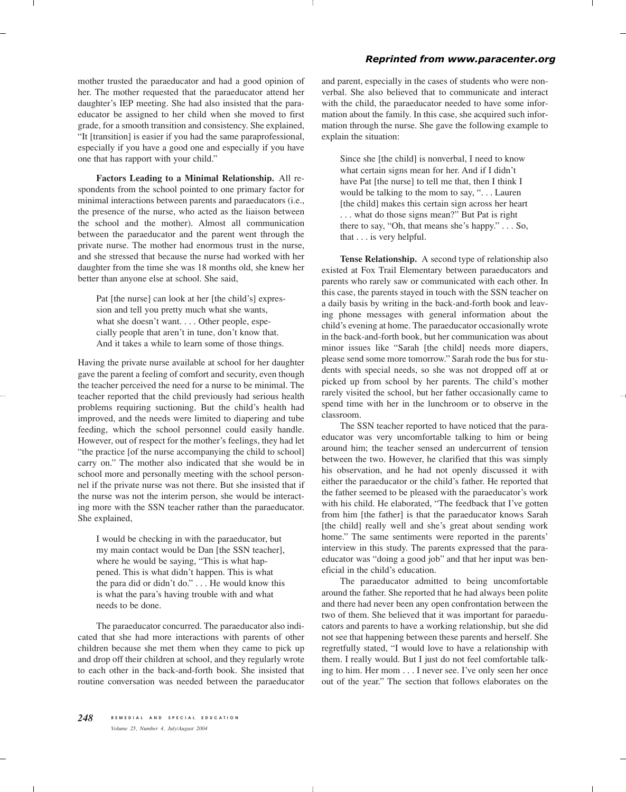mother trusted the paraeducator and had a good opinion of her. The mother requested that the paraeducator attend her daughter's IEP meeting. She had also insisted that the paraeducator be assigned to her child when she moved to first grade, for a smooth transition and consistency. She explained, "It [transition] is easier if you had the same paraprofessional, especially if you have a good one and especially if you have one that has rapport with your child."

**Factors Leading to a Minimal Relationship.** All respondents from the school pointed to one primary factor for minimal interactions between parents and paraeducators (i.e., the presence of the nurse, who acted as the liaison between the school and the mother). Almost all communication between the paraeducator and the parent went through the private nurse. The mother had enormous trust in the nurse, and she stressed that because the nurse had worked with her daughter from the time she was 18 months old, she knew her better than anyone else at school. She said,

Pat [the nurse] can look at her [the child's] expression and tell you pretty much what she wants, what she doesn't want. . . . Other people, especially people that aren't in tune, don't know that. And it takes a while to learn some of those things.

Having the private nurse available at school for her daughter gave the parent a feeling of comfort and security, even though the teacher perceived the need for a nurse to be minimal. The teacher reported that the child previously had serious health problems requiring suctioning. But the child's health had improved, and the needs were limited to diapering and tube feeding, which the school personnel could easily handle. However, out of respect for the mother's feelings, they had let "the practice [of the nurse accompanying the child to school] carry on." The mother also indicated that she would be in school more and personally meeting with the school personnel if the private nurse was not there. But she insisted that if the nurse was not the interim person, she would be interacting more with the SSN teacher rather than the paraeducator. She explained,

I would be checking in with the paraeducator, but my main contact would be Dan [the SSN teacher], where he would be saying, "This is what happened. This is what didn't happen. This is what the para did or didn't do." . . . He would know this is what the para's having trouble with and what needs to be done.

The paraeducator concurred. The paraeducator also indicated that she had more interactions with parents of other children because she met them when they came to pick up and drop off their children at school, and they regularly wrote to each other in the back-and-forth book. She insisted that routine conversation was needed between the paraeducator and parent, especially in the cases of students who were nonverbal. She also believed that to communicate and interact with the child, the paraeducator needed to have some information about the family. In this case, she acquired such information through the nurse. She gave the following example to explain the situation:

Since she [the child] is nonverbal, I need to know what certain signs mean for her. And if I didn't have Pat [the nurse] to tell me that, then I think I would be talking to the mom to say, "... Lauren [the child] makes this certain sign across her heart ... what do those signs mean?" But Pat is right there to say, "Oh, that means she's happy." . . . So, that . . . is very helpful.

**Tense Relationship.** A second type of relationship also existed at Fox Trail Elementary between paraeducators and parents who rarely saw or communicated with each other. In this case, the parents stayed in touch with the SSN teacher on a daily basis by writing in the back-and-forth book and leaving phone messages with general information about the child's evening at home. The paraeducator occasionally wrote in the back-and-forth book, but her communication was about minor issues like "Sarah [the child] needs more diapers, please send some more tomorrow." Sarah rode the bus for students with special needs, so she was not dropped off at or picked up from school by her parents. The child's mother rarely visited the school, but her father occasionally came to spend time with her in the lunchroom or to observe in the classroom.

The SSN teacher reported to have noticed that the paraeducator was very uncomfortable talking to him or being around him; the teacher sensed an undercurrent of tension between the two. However, he clarified that this was simply his observation, and he had not openly discussed it with either the paraeducator or the child's father. He reported that the father seemed to be pleased with the paraeducator's work with his child. He elaborated, "The feedback that I've gotten from him [the father] is that the paraeducator knows Sarah [the child] really well and she's great about sending work home." The same sentiments were reported in the parents' interview in this study. The parents expressed that the paraeducator was "doing a good job" and that her input was beneficial in the child's education.

The paraeducator admitted to being uncomfortable around the father. She reported that he had always been polite and there had never been any open confrontation between the two of them. She believed that it was important for paraeducators and parents to have a working relationship, but she did not see that happening between these parents and herself. She regretfully stated, "I would love to have a relationship with them. I really would. But I just do not feel comfortable talking to him. Her mom . . . I never see. I've only seen her once out of the year." The section that follows elaborates on the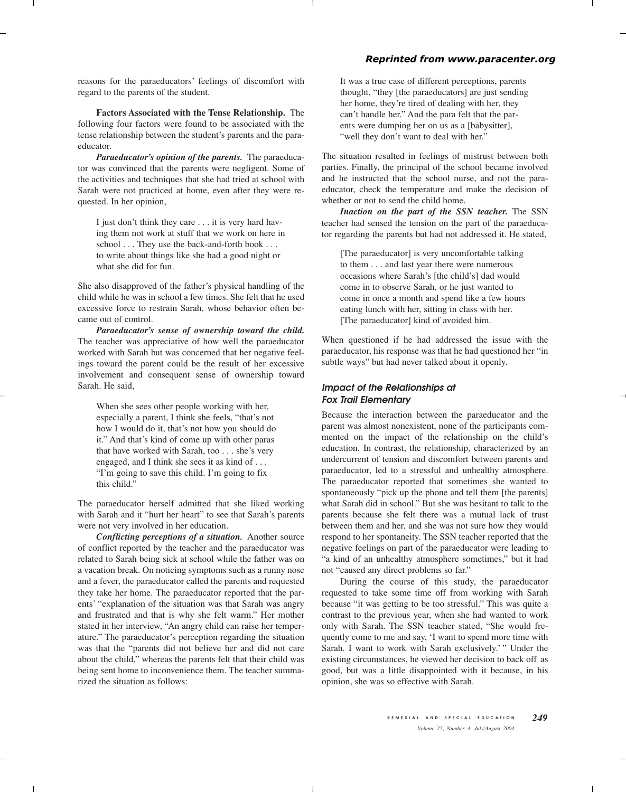reasons for the paraeducators' feelings of discomfort with regard to the parents of the student.

**Factors Associated with the Tense Relationship.** The following four factors were found to be associated with the tense relationship between the student's parents and the paraeducator.

*Paraeducator's opinion of the parents.* The paraeducator was convinced that the parents were negligent. Some of the activities and techniques that she had tried at school with Sarah were not practiced at home, even after they were requested. In her opinion,

I just don't think they care . . . it is very hard having them not work at stuff that we work on here in school . . . They use the back-and-forth book . . . to write about things like she had a good night or what she did for fun.

She also disapproved of the father's physical handling of the child while he was in school a few times. She felt that he used excessive force to restrain Sarah, whose behavior often became out of control.

*Paraeducator's sense of ownership toward the child.* The teacher was appreciative of how well the paraeducator worked with Sarah but was concerned that her negative feelings toward the parent could be the result of her excessive involvement and consequent sense of ownership toward Sarah. He said,

When she sees other people working with her, especially a parent, I think she feels, "that's not how I would do it, that's not how you should do it." And that's kind of come up with other paras that have worked with Sarah, too . . . she's very engaged, and I think she sees it as kind of . . . "I'm going to save this child. I'm going to fix this child."

The paraeducator herself admitted that she liked working with Sarah and it "hurt her heart" to see that Sarah's parents were not very involved in her education.

*Conflicting perceptions of a situation.* Another source of conflict reported by the teacher and the paraeducator was related to Sarah being sick at school while the father was on a vacation break. On noticing symptoms such as a runny nose and a fever, the paraeducator called the parents and requested they take her home. The paraeducator reported that the parents' "explanation of the situation was that Sarah was angry and frustrated and that is why she felt warm." Her mother stated in her interview, "An angry child can raise her temperature." The paraeducator's perception regarding the situation was that the "parents did not believe her and did not care about the child," whereas the parents felt that their child was being sent home to inconvenience them. The teacher summarized the situation as follows:

It was a true case of different perceptions, parents thought, "they [the paraeducators] are just sending her home, they're tired of dealing with her, they can't handle her." And the para felt that the parents were dumping her on us as a [babysitter], "well they don't want to deal with her."

The situation resulted in feelings of mistrust between both parties. Finally, the principal of the school became involved and he instructed that the school nurse, and not the paraeducator, check the temperature and make the decision of whether or not to send the child home.

*Inaction on the part of the SSN teacher.* The SSN teacher had sensed the tension on the part of the paraeducator regarding the parents but had not addressed it. He stated,

[The paraeducator] is very uncomfortable talking to them . . . and last year there were numerous occasions where Sarah's [the child's] dad would come in to observe Sarah, or he just wanted to come in once a month and spend like a few hours eating lunch with her, sitting in class with her. [The paraeducator] kind of avoided him.

When questioned if he had addressed the issue with the paraeducator, his response was that he had questioned her "in subtle ways" but had never talked about it openly.

## *Impact of the Relationships at Fox Trail Elementary*

Because the interaction between the paraeducator and the parent was almost nonexistent, none of the participants commented on the impact of the relationship on the child's education. In contrast, the relationship, characterized by an undercurrent of tension and discomfort between parents and paraeducator, led to a stressful and unhealthy atmosphere. The paraeducator reported that sometimes she wanted to spontaneously "pick up the phone and tell them [the parents] what Sarah did in school." But she was hesitant to talk to the parents because she felt there was a mutual lack of trust between them and her, and she was not sure how they would respond to her spontaneity. The SSN teacher reported that the negative feelings on part of the paraeducator were leading to "a kind of an unhealthy atmosphere sometimes," but it had not "caused any direct problems so far."

During the course of this study, the paraeducator requested to take some time off from working with Sarah because "it was getting to be too stressful." This was quite a contrast to the previous year, when she had wanted to work only with Sarah. The SSN teacher stated, "She would frequently come to me and say, 'I want to spend more time with Sarah. I want to work with Sarah exclusively.' " Under the existing circumstances, he viewed her decision to back off as good, but was a little disappointed with it because, in his opinion, she was so effective with Sarah.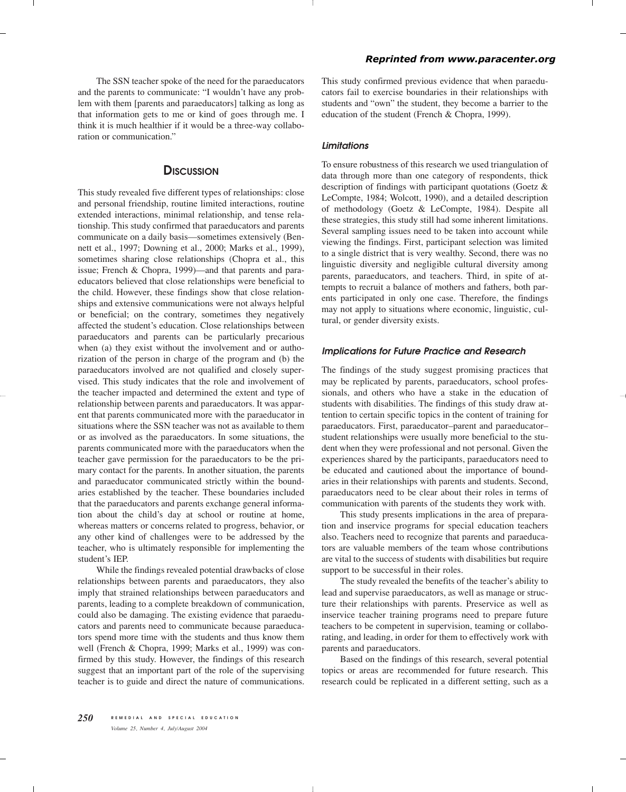The SSN teacher spoke of the need for the paraeducators and the parents to communicate: "I wouldn't have any problem with them [parents and paraeducators] talking as long as that information gets to me or kind of goes through me. I think it is much healthier if it would be a three-way collaboration or communication."

# **DISCUSSION**

This study revealed five different types of relationships: close and personal friendship, routine limited interactions, routine extended interactions, minimal relationship, and tense relationship. This study confirmed that paraeducators and parents communicate on a daily basis—sometimes extensively (Bennett et al., 1997; Downing et al., 2000; Marks et al., 1999), sometimes sharing close relationships (Chopra et al., this issue; French & Chopra, 1999)—and that parents and paraeducators believed that close relationships were beneficial to the child. However, these findings show that close relationships and extensive communications were not always helpful or beneficial; on the contrary, sometimes they negatively affected the student's education. Close relationships between paraeducators and parents can be particularly precarious when (a) they exist without the involvement and or authorization of the person in charge of the program and (b) the paraeducators involved are not qualified and closely supervised. This study indicates that the role and involvement of the teacher impacted and determined the extent and type of relationship between parents and paraeducators. It was apparent that parents communicated more with the paraeducator in situations where the SSN teacher was not as available to them or as involved as the paraeducators. In some situations, the parents communicated more with the paraeducators when the teacher gave permission for the paraeducators to be the primary contact for the parents. In another situation, the parents and paraeducator communicated strictly within the boundaries established by the teacher. These boundaries included that the paraeducators and parents exchange general information about the child's day at school or routine at home, whereas matters or concerns related to progress, behavior, or any other kind of challenges were to be addressed by the teacher, who is ultimately responsible for implementing the student's IEP.

While the findings revealed potential drawbacks of close relationships between parents and paraeducators, they also imply that strained relationships between paraeducators and parents, leading to a complete breakdown of communication, could also be damaging. The existing evidence that paraeducators and parents need to communicate because paraeducators spend more time with the students and thus know them well (French & Chopra, 1999; Marks et al., 1999) was confirmed by this study. However, the findings of this research suggest that an important part of the role of the supervising teacher is to guide and direct the nature of communications.

### *Reprinted from www.paracenter.org*

This study confirmed previous evidence that when paraeducators fail to exercise boundaries in their relationships with students and "own" the student, they become a barrier to the education of the student (French & Chopra, 1999).

## *Limitations*

To ensure robustness of this research we used triangulation of data through more than one category of respondents, thick description of findings with participant quotations (Goetz & LeCompte, 1984; Wolcott, 1990), and a detailed description of methodology (Goetz & LeCompte, 1984). Despite all these strategies, this study still had some inherent limitations. Several sampling issues need to be taken into account while viewing the findings. First, participant selection was limited to a single district that is very wealthy. Second, there was no linguistic diversity and negligible cultural diversity among parents, paraeducators, and teachers. Third, in spite of attempts to recruit a balance of mothers and fathers, both parents participated in only one case. Therefore, the findings may not apply to situations where economic, linguistic, cultural, or gender diversity exists.

## *Implications for Future Practice and Research*

The findings of the study suggest promising practices that may be replicated by parents, paraeducators, school professionals, and others who have a stake in the education of students with disabilities. The findings of this study draw attention to certain specific topics in the content of training for paraeducators. First, paraeducator–parent and paraeducator– student relationships were usually more beneficial to the student when they were professional and not personal. Given the experiences shared by the participants, paraeducators need to be educated and cautioned about the importance of boundaries in their relationships with parents and students. Second, paraeducators need to be clear about their roles in terms of communication with parents of the students they work with.

This study presents implications in the area of preparation and inservice programs for special education teachers also. Teachers need to recognize that parents and paraeducators are valuable members of the team whose contributions are vital to the success of students with disabilities but require support to be successful in their roles.

The study revealed the benefits of the teacher's ability to lead and supervise paraeducators, as well as manage or structure their relationships with parents. Preservice as well as inservice teacher training programs need to prepare future teachers to be competent in supervision, teaming or collaborating, and leading, in order for them to effectively work with parents and paraeducators.

Based on the findings of this research, several potential topics or areas are recommended for future research. This research could be replicated in a different setting, such as a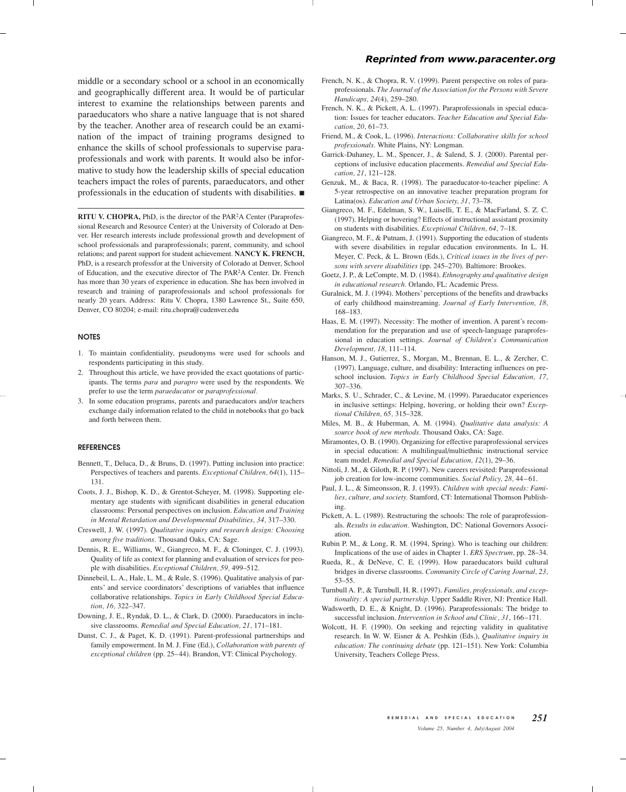middle or a secondary school or a school in an economically and geographically different area. It would be of particular interest to examine the relationships between parents and paraeducators who share a native language that is not shared by the teacher. Another area of research could be an examination of the impact of training programs designed to enhance the skills of school professionals to supervise paraprofessionals and work with parents. It would also be informative to study how the leadership skills of special education teachers impact the roles of parents, paraeducators, and other professionals in the education of students with disabilities. ■

**RITU V. CHOPRA,** PhD, is the director of the PAR2A Center (Paraprofessional Research and Resource Center) at the University of Colorado at Denver. Her research interests include professional growth and development of school professionals and paraprofessionals; parent, community, and school relations; and parent support for student achievement. **NANCY K. FRENCH,** PhD, is a research professfor at the University of Colorado at Denver, School of Education, and the executive director of The PAR2A Center. Dr. French has more than 30 years of experience in education. She has been involved in research and training of paraprofessionals and school professionals for nearly 20 years. Address: Ritu V. Chopra, 1380 Lawrence St., Suite 650, Denver, CO 80204; e-mail: ritu.chopra@cudenver.edu

#### **NOTES**

- 1. To maintain confidentiality, pseudonyms were used for schools and respondents participating in this study.
- 2. Throughout this article, we have provided the exact quotations of participants. The terms *para* and *parapro* were used by the respondents. We prefer to use the term *paraeducator* or *paraprofessional.*
- 3. In some education programs, parents and paraeducators and/or teachers exchange daily information related to the child in notebooks that go back and forth between them.

#### **REFERENCES**

- Bennett, T., Deluca, D., & Bruns, D. (1997). Putting inclusion into practice: Perspectives of teachers and parents. *Exceptional Children, 64*(1), 115– 131.
- Coots, J. J., Bishop, K. D., & Grentot-Scheyer, M. (1998). Supporting elementary age students with significant disabilities in general education classrooms: Personal perspectives on inclusion. *Education and Training in Mental Retardation and Developmental Disabilities, 34,* 317–330.
- Creswell, J. W. (1997). *Qualitative inquiry and research design: Choosing among five traditions.* Thousand Oaks, CA: Sage.
- Dennis, R. E., Williams, W., Giangreco, M. F., & Cloninger, C. J. (1993). Quality of life as context for planning and evaluation of services for people with disabilities. *Exceptional Children, 59,* 499–512.
- Dinnebeil, L. A., Hale, L. M., & Rule, S. (1996). Qualitative analysis of parents' and service coordinators' descriptions of variables that influence collaborative relationships. *Topics in Early Childhood Special Education, 16,* 322–347.
- Downing, J. E., Ryndak, D. L., & Clark, D. (2000). Paraeducators in inclusive classrooms. *Remedial and Special Education, 21,* 171–181.
- Dunst, C. J., & Paget, K. D. (1991). Parent-professional partnerships and family empowerment. In M. J. Fine (Ed.), *Collaboration with parents of exceptional children* (pp. 25–44). Brandon, VT: Clinical Psychology.

#### *Reprinted from www.paracenter.org*

- French, N. K., & Chopra, R. V. (1999). Parent perspective on roles of paraprofessionals. *The Journal of the Association for the Persons with Severe Handicaps, 24*(4), 259–280.
- French, N. K., & Pickett, A. L. (1997). Paraprofessionals in special education: Issues for teacher educators. *Teacher Education and Special Education, 20,* 61–73.
- Friend, M., & Cook, L. (1996). *Interactions: Collaborative skills for school professionals.* White Plains, NY: Longman.
- Garrick-Duhaney, L. M., Spencer, J., & Salend, S. J. (2000). Parental perceptions of inclusive education placements. *Remedial and Special Education, 21*, 121–128.
- Genzuk, M., & Baca, R. (1998). The paraeducator-to-teacher pipeline: A 5-year retrospective on an innovative teacher preparation program for Latina(os). *Education and Urban Society, 31,* 73–78.
- Giangreco, M. F., Edelman, S. W., Luiselli, T. E., & MacFarland, S. Z. C. (1997). Helping or hovering? Effects of instructional assistant proximity on students with disabilities. *Exceptional Children, 64*, 7–18.
- Giangreco, M. F., & Putnam, J. (1991). Supporting the education of students with severe disabilities in regular education environments. In L. H. Meyer, C. Peck, & L. Brown (Eds.), *Critical issues in the lives of persons with severe disabilities* (pp. 245–270). Baltimore: Brookes.
- Goetz, J. P., & LeCompte, M. D. (1984). *Ethnography and qualitative design in educational research.* Orlando, FL: Academic Press.
- Guralnick, M. J. (1994). Mothers' perceptions of the benefits and drawbacks of early childhood mainstreaming. *Journal of Early Intervention, 18,* 168–183.
- Haas, E. M. (1997). Necessity: The mother of invention. A parent's recommendation for the preparation and use of speech-language paraprofessional in education settings. *Journal of Children's Communication Development, 18,* 111–114.
- Hanson, M. J., Gutierrez, S., Morgan, M., Brennan, E. L., & Zercher, C. (1997). Language, culture, and disability: Interacting influences on preschool inclusion. *Topics in Early Childhood Special Education, 17,* 307–336.
- Marks, S. U., Schrader, C., & Levine, M. (1999). Paraeducator experiences in inclusive settings: Helping, hovering, or holding their own? *Exceptional Children, 65,* 315–328.
- Miles, M. B., & Huberman, A. M. (1994). *Qualitative data analysis: A source book of new methods.* Thousand Oaks, CA: Sage.
- Miramontes, O. B. (1990). Organizing for effective paraprofessional services in special education: A multilingual/multiethnic instructional service team model. *Remedial and Special Education, 12*(1), 29–36.
- Nittoli, J. M., & Giloth, R. P. (1997). New careers revisited: Paraprofessional job creation for low-income communities. *Social Policy, 28,* 44–61.
- Paul, J. L., & Simeonsson, R. J. (1993). *Children with special needs: Families, culture, and society.* Stamford, CT: International Thomson Publishing.
- Pickett, A. L. (1989). Restructuring the schools: The role of paraprofessionals. *Results in education.* Washington, DC: National Governors Association.
- Rubin P. M., & Long, R. M. (1994, Spring). Who is teaching our children: Implications of the use of aides in Chapter 1. *ERS Spectrum,* pp. 28–34.
- Rueda, R., & DeNeve, C. E. (1999). How paraeducators build cultural bridges in diverse classrooms. *Community Circle of Caring Journal, 23,* 53–55.
- Turnbull A. P., & Turnbull, H. R. (1997). *Families, professionals, and exceptionality: A special partnership.* Upper Saddle River, NJ: Prentice Hall.
- Wadsworth, D. E., & Knight, D. (1996). Paraprofessionals: The bridge to successful inclusion. *Intervention in School and Clinic, 31*, 166–171.
- Wolcott, H. F. (1990). On seeking and rejecting validity in qualitative research. In W. W. Eisner & A. Peshkin (Eds.), *Qualitative inquiry in education: The continuing debate* (pp. 121–151). New York: Columbia University, Teachers College Press.